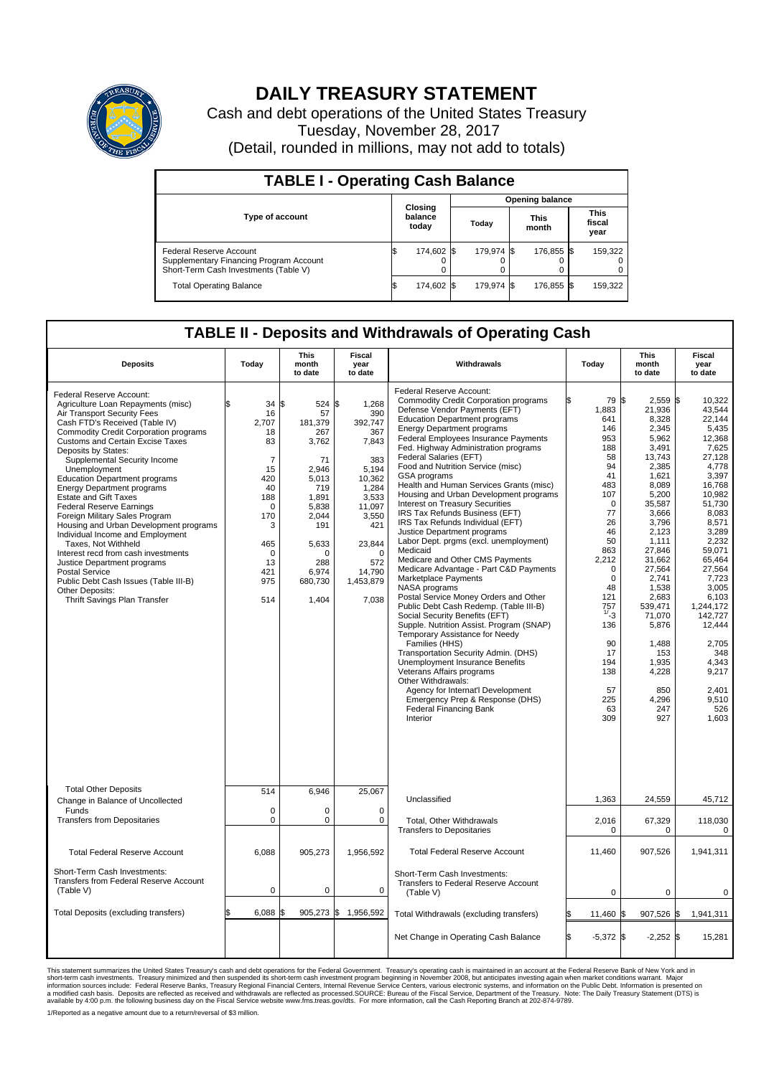

## **DAILY TREASURY STATEMENT**

Cash and debt operations of the United States Treasury Tuesday, November 28, 2017 (Detail, rounded in millions, may not add to totals)

| <b>TABLE I - Operating Cash Balance</b>                                                                     |  |                             |  |                        |  |                      |  |                               |  |  |  |
|-------------------------------------------------------------------------------------------------------------|--|-----------------------------|--|------------------------|--|----------------------|--|-------------------------------|--|--|--|
|                                                                                                             |  | Closing<br>balance<br>today |  | <b>Opening balance</b> |  |                      |  |                               |  |  |  |
| <b>Type of account</b>                                                                                      |  |                             |  | Todav                  |  | <b>This</b><br>month |  | <b>This</b><br>fiscal<br>year |  |  |  |
| Federal Reserve Account<br>Supplementary Financing Program Account<br>Short-Term Cash Investments (Table V) |  | 174,602 \$                  |  | 179.974 \$             |  | 176.855 \$           |  | 159,322                       |  |  |  |
| <b>Total Operating Balance</b>                                                                              |  | 174,602 \$                  |  | 179.974 \$             |  | 176,855 \$           |  | 159,322                       |  |  |  |

## **TABLE II - Deposits and Withdrawals of Operating Cash**

| <b>Deposits</b>                                                                                                                                                                                                                                                                                                                                                                                                                                                                                                                                                                                                                                                                                                                                                              | Today                                                                                                                                          | <b>This</b><br>month<br>to date                                                                                                                                   | <b>Fiscal</b><br>year<br>to date                                                                                                                                           | Withdrawals                                                                                                                                                                                                                                                                                                                                                                                                                                                                                                                                                                                                                                                                                                                                                                                                                                                                                                                                                                                                                                                                                                                                                                                                                                   | Today                                                                                                                                                                                                                                        | <b>This</b><br>month<br>to date                                                                                                                                                                                                                                                                              | <b>Fiscal</b><br>year<br>to date                                                                                                                                                                                                                                                                                           |  |
|------------------------------------------------------------------------------------------------------------------------------------------------------------------------------------------------------------------------------------------------------------------------------------------------------------------------------------------------------------------------------------------------------------------------------------------------------------------------------------------------------------------------------------------------------------------------------------------------------------------------------------------------------------------------------------------------------------------------------------------------------------------------------|------------------------------------------------------------------------------------------------------------------------------------------------|-------------------------------------------------------------------------------------------------------------------------------------------------------------------|----------------------------------------------------------------------------------------------------------------------------------------------------------------------------|-----------------------------------------------------------------------------------------------------------------------------------------------------------------------------------------------------------------------------------------------------------------------------------------------------------------------------------------------------------------------------------------------------------------------------------------------------------------------------------------------------------------------------------------------------------------------------------------------------------------------------------------------------------------------------------------------------------------------------------------------------------------------------------------------------------------------------------------------------------------------------------------------------------------------------------------------------------------------------------------------------------------------------------------------------------------------------------------------------------------------------------------------------------------------------------------------------------------------------------------------|----------------------------------------------------------------------------------------------------------------------------------------------------------------------------------------------------------------------------------------------|--------------------------------------------------------------------------------------------------------------------------------------------------------------------------------------------------------------------------------------------------------------------------------------------------------------|----------------------------------------------------------------------------------------------------------------------------------------------------------------------------------------------------------------------------------------------------------------------------------------------------------------------------|--|
| Federal Reserve Account:<br>Agriculture Loan Repayments (misc)<br>Air Transport Security Fees<br>Cash FTD's Received (Table IV)<br><b>Commodity Credit Corporation programs</b><br><b>Customs and Certain Excise Taxes</b><br>Deposits by States:<br>Supplemental Security Income<br>Unemployment<br><b>Education Department programs</b><br><b>Energy Department programs</b><br><b>Estate and Gift Taxes</b><br><b>Federal Reserve Earnings</b><br>Foreign Military Sales Program<br>Housing and Urban Development programs<br>Individual Income and Employment<br>Taxes, Not Withheld<br>Interest recd from cash investments<br>Justice Department programs<br>Postal Service<br>Public Debt Cash Issues (Table III-B)<br>Other Deposits:<br>Thrift Savings Plan Transfer | \$<br>34<br>16<br>2.707<br>18<br>83<br>$\overline{7}$<br>15<br>420<br>40<br>188<br>0<br>170<br>3<br>465<br>$\Omega$<br>13<br>421<br>975<br>514 | 524 \$<br>l\$<br>57<br>181,379<br>267<br>3,762<br>71<br>2,946<br>5,013<br>719<br>1,891<br>5,838<br>2,044<br>191<br>5,633<br>n<br>288<br>6,974<br>680,730<br>1,404 | 1,268<br>390<br>392.747<br>367<br>7,843<br>383<br>5,194<br>10,362<br>1.284<br>3,533<br>11,097<br>3,550<br>421<br>23,844<br>$\Omega$<br>572<br>14,790<br>1,453,879<br>7,038 | Federal Reserve Account:<br><b>Commodity Credit Corporation programs</b><br>Defense Vendor Payments (EFT)<br><b>Education Department programs</b><br><b>Energy Department programs</b><br>Federal Employees Insurance Payments<br>Fed. Highway Administration programs<br>Federal Salaries (EFT)<br>Food and Nutrition Service (misc)<br>GSA programs<br>Health and Human Services Grants (misc)<br>Housing and Urban Development programs<br>Interest on Treasury Securities<br>IRS Tax Refunds Business (EFT)<br>IRS Tax Refunds Individual (EFT)<br>Justice Department programs<br>Labor Dept. prgms (excl. unemployment)<br>Medicaid<br>Medicare and Other CMS Payments<br>Medicare Advantage - Part C&D Payments<br>Marketplace Payments<br>NASA programs<br>Postal Service Money Orders and Other<br>Public Debt Cash Redemp. (Table III-B)<br>Social Security Benefits (EFT)<br>Supple. Nutrition Assist. Program (SNAP)<br>Temporary Assistance for Needy<br>Families (HHS)<br>Transportation Security Admin. (DHS)<br><b>Unemployment Insurance Benefits</b><br>Veterans Affairs programs<br>Other Withdrawals:<br>Agency for Internat'l Development<br>Emergency Prep & Response (DHS)<br><b>Federal Financing Bank</b><br>Interior | 79<br>1,883<br>641<br>146<br>953<br>188<br>58<br>94<br>41<br>483<br>107<br>$\mathbf 0$<br>77<br>26<br>46<br>50<br>863<br>2,212<br>0<br>$\mathbf 0$<br>48<br>121<br>$757$<br>$1/3$<br>136<br>90<br>17<br>194<br>138<br>57<br>225<br>63<br>309 | \$<br>2,559<br>21,936<br>8,328<br>2,345<br>5,962<br>3,491<br>13,743<br>2,385<br>1,621<br>8,089<br>5,200<br>35,587<br>3,666<br>3,796<br>2.123<br>1,111<br>27,846<br>31,662<br>27,564<br>2,741<br>1,538<br>2.683<br>539,471<br>71,070<br>5,876<br>1,488<br>153<br>1.935<br>4,228<br>850<br>4,296<br>247<br>927 | l\$<br>10,322<br>43,544<br>22,144<br>5,435<br>12.368<br>7,625<br>27,128<br>4.778<br>3,397<br>16,768<br>10.982<br>51,730<br>8.083<br>8,571<br>3.289<br>2,232<br>59.071<br>65,464<br>27,564<br>7,723<br>3,005<br>6.103<br>1,244,172<br>142,727<br>12,444<br>2,705<br>348<br>4.343<br>9,217<br>2,401<br>9,510<br>526<br>1,603 |  |
| <b>Total Other Deposits</b><br>Change in Balance of Uncollected<br>Funds<br><b>Transfers from Depositaries</b>                                                                                                                                                                                                                                                                                                                                                                                                                                                                                                                                                                                                                                                               | 514<br>$\mathbf 0$<br>$\mathbf 0$                                                                                                              | 6,946<br>0<br>$\mathbf 0$                                                                                                                                         | 25,067<br>$\mathbf 0$<br>$\mathbf 0$                                                                                                                                       | Unclassified<br>Total, Other Withdrawals                                                                                                                                                                                                                                                                                                                                                                                                                                                                                                                                                                                                                                                                                                                                                                                                                                                                                                                                                                                                                                                                                                                                                                                                      | 1,363<br>2,016                                                                                                                                                                                                                               | 24,559<br>67,329                                                                                                                                                                                                                                                                                             | 45,712<br>118,030                                                                                                                                                                                                                                                                                                          |  |
|                                                                                                                                                                                                                                                                                                                                                                                                                                                                                                                                                                                                                                                                                                                                                                              |                                                                                                                                                |                                                                                                                                                                   |                                                                                                                                                                            | <b>Transfers to Depositaries</b>                                                                                                                                                                                                                                                                                                                                                                                                                                                                                                                                                                                                                                                                                                                                                                                                                                                                                                                                                                                                                                                                                                                                                                                                              | 0                                                                                                                                                                                                                                            | 0                                                                                                                                                                                                                                                                                                            | $\mathbf 0$                                                                                                                                                                                                                                                                                                                |  |
| <b>Total Federal Reserve Account</b>                                                                                                                                                                                                                                                                                                                                                                                                                                                                                                                                                                                                                                                                                                                                         | 6,088                                                                                                                                          | 905,273                                                                                                                                                           | 1,956,592                                                                                                                                                                  | <b>Total Federal Reserve Account</b>                                                                                                                                                                                                                                                                                                                                                                                                                                                                                                                                                                                                                                                                                                                                                                                                                                                                                                                                                                                                                                                                                                                                                                                                          | 11,460                                                                                                                                                                                                                                       | 907,526                                                                                                                                                                                                                                                                                                      | 1,941,311                                                                                                                                                                                                                                                                                                                  |  |
| Short-Term Cash Investments:<br>Transfers from Federal Reserve Account<br>(Table V)                                                                                                                                                                                                                                                                                                                                                                                                                                                                                                                                                                                                                                                                                          | $\mathbf 0$                                                                                                                                    | 0                                                                                                                                                                 | 0                                                                                                                                                                          | Short-Term Cash Investments:<br>Transfers to Federal Reserve Account<br>(Table V)                                                                                                                                                                                                                                                                                                                                                                                                                                                                                                                                                                                                                                                                                                                                                                                                                                                                                                                                                                                                                                                                                                                                                             | $\mathbf 0$                                                                                                                                                                                                                                  | $\mathbf 0$                                                                                                                                                                                                                                                                                                  | $\mathbf 0$                                                                                                                                                                                                                                                                                                                |  |
| Total Deposits (excluding transfers)                                                                                                                                                                                                                                                                                                                                                                                                                                                                                                                                                                                                                                                                                                                                         | \$<br>6,088                                                                                                                                    | \$                                                                                                                                                                | 905,273 \$ 1,956,592                                                                                                                                                       | Total Withdrawals (excluding transfers)                                                                                                                                                                                                                                                                                                                                                                                                                                                                                                                                                                                                                                                                                                                                                                                                                                                                                                                                                                                                                                                                                                                                                                                                       | 11,460                                                                                                                                                                                                                                       | 907,526<br>\$                                                                                                                                                                                                                                                                                                | 1,941,311<br>1\$                                                                                                                                                                                                                                                                                                           |  |
|                                                                                                                                                                                                                                                                                                                                                                                                                                                                                                                                                                                                                                                                                                                                                                              |                                                                                                                                                |                                                                                                                                                                   |                                                                                                                                                                            | Net Change in Operating Cash Balance                                                                                                                                                                                                                                                                                                                                                                                                                                                                                                                                                                                                                                                                                                                                                                                                                                                                                                                                                                                                                                                                                                                                                                                                          | S.<br>$-5,372$ \$                                                                                                                                                                                                                            | $-2,252$ \$                                                                                                                                                                                                                                                                                                  | 15,281                                                                                                                                                                                                                                                                                                                     |  |

This statement summarizes the United States Treasury's cash and debt operations for the Federal Government. Treasury soperating in November 2008, but anticiarde in a cocount at the Federal Reserve Bank of New York and in<br>s

1/Reported as a negative amount due to a return/reversal of \$3 million.